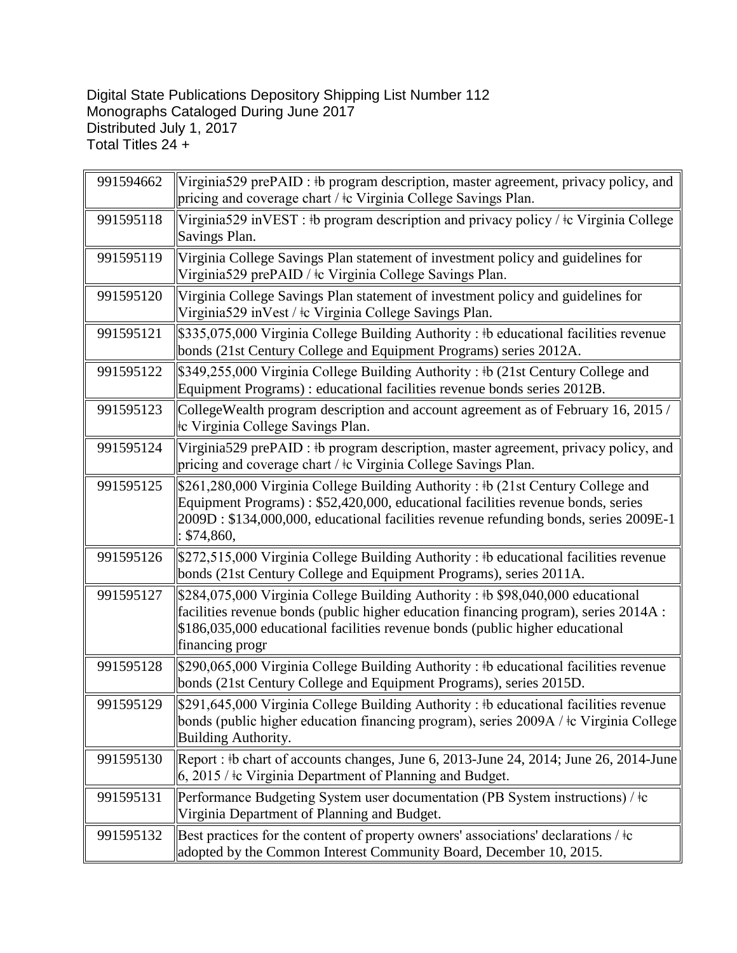## Digital State Publications Depository Shipping List Number 112 Monographs Cataloged During June 2017 Distributed July 1, 2017 Total Titles 24 +

| 991594662 | Virginia529 prePAID : #b program description, master agreement, privacy policy, and<br>pricing and coverage chart / $\pm c$ Virginia College Savings Plan.                                                                                                                  |
|-----------|-----------------------------------------------------------------------------------------------------------------------------------------------------------------------------------------------------------------------------------------------------------------------------|
| 991595118 | Virginia529 inVEST : #b program description and privacy policy / $\pm c$ Virginia College<br>Savings Plan.                                                                                                                                                                  |
| 991595119 | Virginia College Savings Plan statement of investment policy and guidelines for<br>Virginia529 prePAID / ‡c Virginia College Savings Plan.                                                                                                                                  |
| 991595120 | Virginia College Savings Plan statement of investment policy and guidelines for<br>Virginia529 inVest / ‡c Virginia College Savings Plan.                                                                                                                                   |
| 991595121 | \$335,075,000 Virginia College Building Authority : #b educational facilities revenue<br>bonds (21st Century College and Equipment Programs) series 2012A.                                                                                                                  |
| 991595122 | \$349,255,000 Virginia College Building Authority: #b (21st Century College and<br>Equipment Programs) : educational facilities revenue bonds series 2012B.                                                                                                                 |
| 991595123 | College Wealth program description and account agreement as of February 16, 2015 /<br>te Virginia College Savings Plan.                                                                                                                                                     |
| 991595124 | Virginia 529 prePAID : #b program description, master agreement, privacy policy, and<br>pricing and coverage chart / $\pm c$ Virginia College Savings Plan.                                                                                                                 |
| 991595125 | \$261,280,000 Virginia College Building Authority: #b (21st Century College and<br>Equipment Programs): \$52,420,000, educational facilities revenue bonds, series<br>2009D: \$134,000,000, educational facilities revenue refunding bonds, series 2009E-1<br>: \$74,860,   |
| 991595126 | \$272,515,000 Virginia College Building Authority : #b educational facilities revenue<br>bonds (21st Century College and Equipment Programs), series 2011A.                                                                                                                 |
| 991595127 | \$284,075,000 Virginia College Building Authority : #b \$98,040,000 educational<br>facilities revenue bonds (public higher education financing program), series 2014A :<br>\$186,035,000 educational facilities revenue bonds (public higher educational<br>financing progr |
| 991595128 | \$290,065,000 Virginia College Building Authority : #b educational facilities revenue<br>bonds (21st Century College and Equipment Programs), series 2015D.                                                                                                                 |
| 991595129 | \$291,645,000 Virginia College Building Authority : #b educational facilities revenue<br>bonds (public higher education financing program), series 2009A / ‡c Virginia College<br>Building Authority.                                                                       |
| 991595130 | Report: #b chart of accounts changes, June 6, 2013-June 24, 2014; June 26, 2014-June<br>$6, 2015$ / $\pm c$ Virginia Department of Planning and Budget.                                                                                                                     |
| 991595131 | Performance Budgeting System user documentation (PB System instructions) / $\pm c$<br>Virginia Department of Planning and Budget.                                                                                                                                           |
| 991595132 | Best practices for the content of property owners' associations' declarations / $\pm c$<br>adopted by the Common Interest Community Board, December 10, 2015.                                                                                                               |